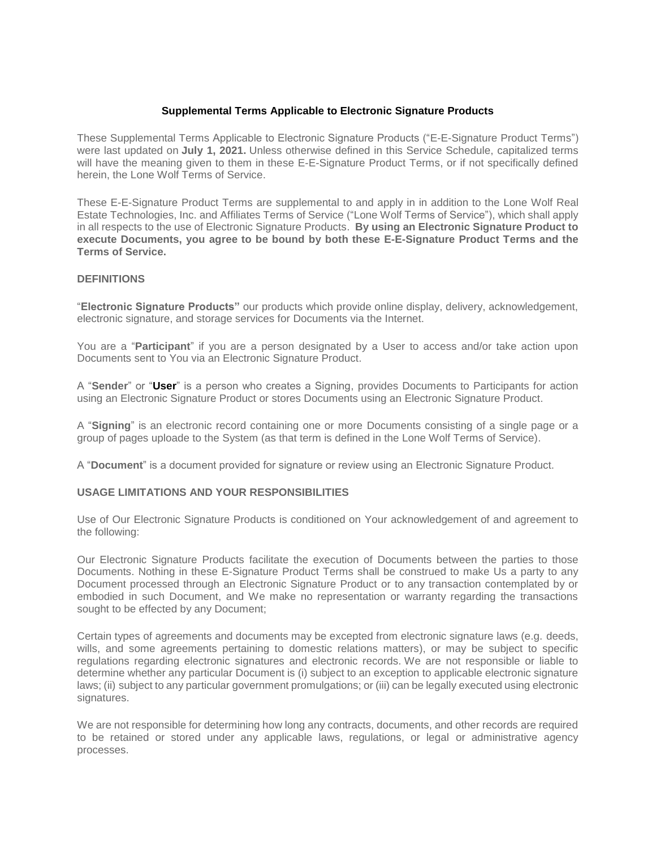## **Supplemental Terms Applicable to Electronic Signature Products**

These Supplemental Terms Applicable to Electronic Signature Products ("E-E-Signature Product Terms") were last updated on **July 1, 2021.** Unless otherwise defined in this Service Schedule, capitalized terms will have the meaning given to them in these E-E-Signature Product Terms, or if not specifically defined herein, the Lone Wolf Terms of Service.

These E-E-Signature Product Terms are supplemental to and apply in in addition to the Lone Wolf Real Estate Technologies, Inc. and Affiliates Terms of Service ("Lone Wolf Terms of Service"), which shall apply in all respects to the use of Electronic Signature Products. **By using an Electronic Signature Product to execute Documents, you agree to be bound by both these E-E-Signature Product Terms and the Terms of Service.**

## **DEFINITIONS**

"**Electronic Signature Products"** our products which provide online display, delivery, acknowledgement, electronic signature, and storage services for Documents via the Internet.

You are a "**Participant**" if you are a person designated by a User to access and/or take action upon Documents sent to You via an Electronic Signature Product.

A "**Sender**" or "**User**" is a person who creates a Signing, provides Documents to Participants for action using an Electronic Signature Product or stores Documents using an Electronic Signature Product.

A "**Signing**" is an electronic record containing one or more Documents consisting of a single page or a group of pages uploade to the System (as that term is defined in the Lone Wolf Terms of Service).

A "**Document**" is a document provided for signature or review using an Electronic Signature Product.

#### **USAGE LIMITATIONS AND YOUR RESPONSIBILITIES**

Use of Our Electronic Signature Products is conditioned on Your acknowledgement of and agreement to the following:

Our Electronic Signature Products facilitate the execution of Documents between the parties to those Documents. Nothing in these E-Signature Product Terms shall be construed to make Us a party to any Document processed through an Electronic Signature Product or to any transaction contemplated by or embodied in such Document, and We make no representation or warranty regarding the transactions sought to be effected by any Document;

Certain types of agreements and documents may be excepted from electronic signature laws (e.g. deeds, wills, and some agreements pertaining to domestic relations matters), or may be subject to specific regulations regarding electronic signatures and electronic records. We are not responsible or liable to determine whether any particular Document is (i) subject to an exception to applicable electronic signature laws; (ii) subject to any particular government promulgations; or (iii) can be legally executed using electronic signatures.

We are not responsible for determining how long any contracts, documents, and other records are required to be retained or stored under any applicable laws, regulations, or legal or administrative agency processes.